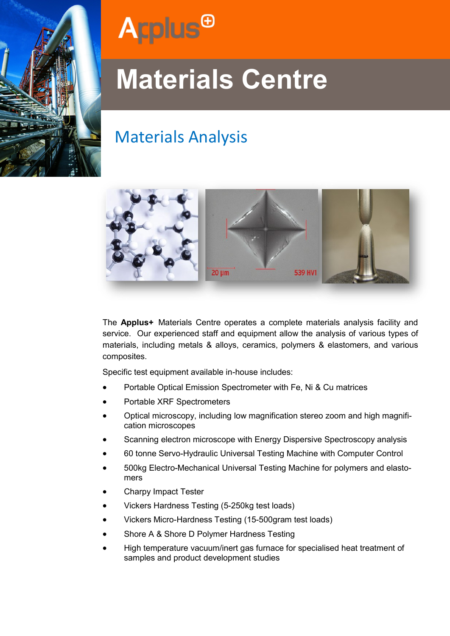



# **Materials Centre**

## Materials Analysis



The **Applus+** Materials Centre operates a complete materials analysis facility and service. Our experienced staff and equipment allow the analysis of various types of materials, including metals & alloys, ceramics, polymers & elastomers, and various composites.

Specific test equipment available in-house includes:

- Portable Optical Emission Spectrometer with Fe, Ni & Cu matrices
- Portable XRF Spectrometers
- Optical microscopy, including low magnification stereo zoom and high magnification microscopes
- Scanning electron microscope with Energy Dispersive Spectroscopy analysis
- 60 tonne Servo-Hydraulic Universal Testing Machine with Computer Control
- 500kg Electro-Mechanical Universal Testing Machine for polymers and elastomers
- Charpy Impact Tester
- Vickers Hardness Testing (5-250kg test loads)
- Vickers Micro-Hardness Testing (15-500gram test loads)
- Shore A & Shore D Polymer Hardness Testing
- High temperature vacuum/inert gas furnace for specialised heat treatment of samples and product development studies